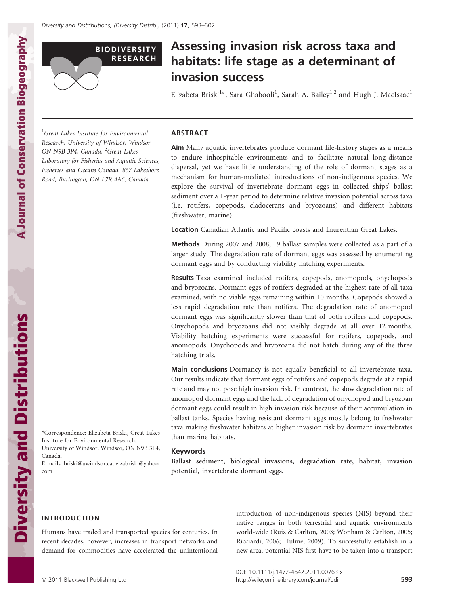

# Assessing invasion risk across taxa and habitats: life stage as a determinant of invasion success

Elizabeta Briski<sup>1</sup>\*, Sara Ghabooli<sup>1</sup>, Sarah A. Bailey<sup>1,2</sup> and Hugh J. MacIsaac<sup>1</sup>

<sup>1</sup>Great Lakes Institute for Environmental Research, University of Windsor, Windsor, ON N9B 3P4, Canada, <sup>2</sup>Great Lakes Laboratory for Fisheries and Aquatic Sciences, Fisheries and Oceans Canada, 867 Lakeshore Road, Burlington, ON L7R 4A6, Canada

#### ABSTRACT

Aim Many aquatic invertebrates produce dormant life-history stages as a means to endure inhospitable environments and to facilitate natural long-distance dispersal, yet we have little understanding of the role of dormant stages as a mechanism for human-mediated introductions of non-indigenous species. We explore the survival of invertebrate dormant eggs in collected ships' ballast sediment over a 1-year period to determine relative invasion potential across taxa (i.e. rotifers, copepods, cladocerans and bryozoans) and different habitats (freshwater, marine).

Location Canadian Atlantic and Pacific coasts and Laurentian Great Lakes.

Methods During 2007 and 2008, 19 ballast samples were collected as a part of a larger study. The degradation rate of dormant eggs was assessed by enumerating dormant eggs and by conducting viability hatching experiments.

Results Taxa examined included rotifers, copepods, anomopods, onychopods and bryozoans. Dormant eggs of rotifers degraded at the highest rate of all taxa examined, with no viable eggs remaining within 10 months. Copepods showed a less rapid degradation rate than rotifers. The degradation rate of anomopod dormant eggs was significantly slower than that of both rotifers and copepods. Onychopods and bryozoans did not visibly degrade at all over 12 months. Viability hatching experiments were successful for rotifers, copepods, and anomopods. Onychopods and bryozoans did not hatch during any of the three hatching trials.

Main conclusions Dormancy is not equally beneficial to all invertebrate taxa. Our results indicate that dormant eggs of rotifers and copepods degrade at a rapid rate and may not pose high invasion risk. In contrast, the slow degradation rate of anomopod dormant eggs and the lack of degradation of onychopod and bryozoan dormant eggs could result in high invasion risk because of their accumulation in ballast tanks. Species having resistant dormant eggs mostly belong to freshwater taxa making freshwater habitats at higher invasion risk by dormant invertebrates than marine habitats.

#### Keywords

Ballast sediment, biological invasions, degradation rate, habitat, invasion potential, invertebrate dormant eggs.

**A Journal of Conservation Biogeography** A Journal of Conservation Biogeography **Diversity and Distributions** Diversity and Distributions

\*Correspondence: Elizabeta Briski, Great Lakes Institute for Environmental Research, University of Windsor, Windsor, ON N9B 3P4, Canada.

E-mails: briski@uwindsor.ca, elzabriski@yahoo. com

## INTRODUCTION

Humans have traded and transported species for centuries. In recent decades, however, increases in transport networks and demand for commodities have accelerated the unintentional

introduction of non-indigenous species (NIS) beyond their native ranges in both terrestrial and aquatic environments world-wide (Ruiz & Carlton, 2003; Wonham & Carlton, 2005; Ricciardi, 2006; Hulme, 2009). To successfully establish in a new area, potential NIS first have to be taken into a transport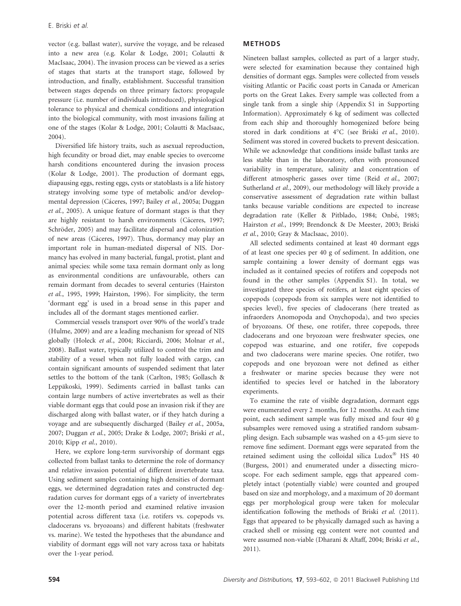vector (e.g. ballast water), survive the voyage, and be released into a new area (e.g. Kolar & Lodge, 2001; Colautti & MacIsaac, 2004). The invasion process can be viewed as a series of stages that starts at the transport stage, followed by introduction, and finally, establishment. Successful transition between stages depends on three primary factors: propagule pressure (i.e. number of individuals introduced), physiological tolerance to physical and chemical conditions and integration into the biological community, with most invasions failing at one of the stages (Kolar & Lodge, 2001; Colautti & MacIsaac, 2004).

Diversified life history traits, such as asexual reproduction, high fecundity or broad diet, may enable species to overcome harsh conditions encountered during the invasion process (Kolar & Lodge, 2001). The production of dormant eggs, diapausing eggs, resting eggs, cysts or statoblasts is a life history strategy involving some type of metabolic and/or developmental depression (Cáceres, 1997; Bailey et al., 2005a; Duggan et al., 2005). A unique feature of dormant stages is that they are highly resistant to harsh environments (Cáceres, 1997; Schröder, 2005) and may facilitate dispersal and colonization of new areas (Cáceres, 1997). Thus, dormancy may play an important role in human-mediated dispersal of NIS. Dormancy has evolved in many bacterial, fungal, protist, plant and animal species: while some taxa remain dormant only as long as environmental conditions are unfavourable, others can remain dormant from decades to several centuries (Hairston et al., 1995, 1999; Hairston, 1996). For simplicity, the term 'dormant egg' is used in a broad sense in this paper and includes all of the dormant stages mentioned earlier.

Commercial vessels transport over 90% of the world's trade (Hulme, 2009) and are a leading mechanism for spread of NIS globally (Holeck et al., 2004; Ricciardi, 2006; Molnar et al., 2008). Ballast water, typically utilized to control the trim and stability of a vessel when not fully loaded with cargo, can contain significant amounts of suspended sediment that later settles to the bottom of the tank (Carlton, 1985; Gollasch & Leppäkoski, 1999). Sediments carried in ballast tanks can contain large numbers of active invertebrates as well as their viable dormant eggs that could pose an invasion risk if they are discharged along with ballast water, or if they hatch during a voyage and are subsequently discharged (Bailey et al., 2005a, 2007; Duggan et al., 2005; Drake & Lodge, 2007; Briski et al., 2010; Kipp et al., 2010).

Here, we explore long-term survivorship of dormant eggs collected from ballast tanks to determine the role of dormancy and relative invasion potential of different invertebrate taxa. Using sediment samples containing high densities of dormant eggs, we determined degradation rates and constructed degradation curves for dormant eggs of a variety of invertebrates over the 12-month period and examined relative invasion potential across different taxa (i.e. rotifers vs. copepods vs. cladocerans vs. bryozoans) and different habitats (freshwater vs. marine). We tested the hypotheses that the abundance and viability of dormant eggs will not vary across taxa or habitats over the 1-year period.

#### METHODS

Nineteen ballast samples, collected as part of a larger study, were selected for examination because they contained high densities of dormant eggs. Samples were collected from vessels visiting Atlantic or Pacific coast ports in Canada or American ports on the Great Lakes. Every sample was collected from a single tank from a single ship (Appendix S1 in Supporting Information). Approximately 6 kg of sediment was collected from each ship and thoroughly homogenized before being stored in dark conditions at 4°C (see Briski et al., 2010). Sediment was stored in covered buckets to prevent desiccation. While we acknowledge that conditions inside ballast tanks are less stable than in the laboratory, often with pronounced variability in temperature, salinity and concentration of different atmospheric gasses over time (Reid et al., 2007; Sutherland et al., 2009), our methodology will likely provide a conservative assessment of degradation rate within ballast tanks because variable conditions are expected to increase degradation rate (Keller & Pitblado, 1984; Onbé, 1985; Hairston et al., 1999; Brendonck & De Meester, 2003; Briski et al., 2010; Gray & MacIsaac, 2010).

All selected sediments contained at least 40 dormant eggs of at least one species per 40 g of sediment. In addition, one sample containing a lower density of dormant eggs was included as it contained species of rotifers and copepods not found in the other samples (Appendix S1). In total, we investigated three species of rotifers, at least eight species of copepods (copepods from six samples were not identified to species level), five species of cladocerans (here treated as infraorders Anomopoda and Onychopoda), and two species of bryozoans. Of these, one rotifer, three copepods, three cladocerans and one bryozoan were freshwater species, one copepod was estuarine, and one rotifer, five copepods and two cladocerans were marine species. One rotifer, two copepods and one bryozoan were not defined as either a freshwater or marine species because they were not identified to species level or hatched in the laboratory experiments.

To examine the rate of visible degradation, dormant eggs were enumerated every 2 months, for 12 months. At each time point, each sediment sample was fully mixed and four 40 g subsamples were removed using a stratified random subsampling design. Each subsample was washed on a 45-µm sieve to remove fine sediment. Dormant eggs were separated from the retained sediment using the colloidal silica Ludox<sup>®</sup> HS 40 (Burgess, 2001) and enumerated under a dissecting microscope. For each sediment sample, eggs that appeared completely intact (potentially viable) were counted and grouped based on size and morphology, and a maximum of 20 dormant eggs per morphological group were taken for molecular identification following the methods of Briski et al. (2011). Eggs that appeared to be physically damaged such as having a cracked shell or missing egg content were not counted and were assumed non-viable (Dharani & Altaff, 2004; Briski et al., 2011).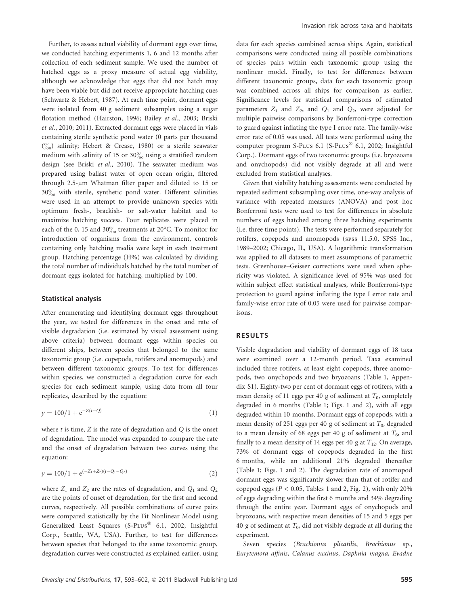Further, to assess actual viability of dormant eggs over time, we conducted hatching experiments 1, 6 and 12 months after collection of each sediment sample. We used the number of hatched eggs as a proxy measure of actual egg viability, although we acknowledge that eggs that did not hatch may have been viable but did not receive appropriate hatching cues (Schwartz & Hebert, 1987). At each time point, dormant eggs were isolated from 40 g sediment subsamples using a sugar flotation method (Hairston, 1996; Bailey et al., 2003; Briski et al., 2010; 2011). Extracted dormant eggs were placed in vials containing sterile synthetic pond water (0 parts per thousand  $\binom{0}{00}$  salinity; Hebert & Crease, 1980) or a sterile seawater medium with salinity of 15 or  $30\%$  using a stratified random design (see Briski et al., 2010). The seawater medium was prepared using ballast water of open ocean origin, filtered through 2.5-µm Whatman filter paper and diluted to 15 or  $30\%$  with sterile, synthetic pond water. Different salinities were used in an attempt to provide unknown species with optimum fresh-, brackish- or salt-water habitat and to maximize hatching success. Four replicates were placed in each of the 0, 15 and  $30\%_{\text{oo}}$  treatments at 20°C. To monitor for introduction of organisms from the environment, controls containing only hatching media were kept in each treatment group. Hatching percentage (H%) was calculated by dividing the total number of individuals hatched by the total number of dormant eggs isolated for hatching, multiplied by 100.

#### Statistical analysis

After enumerating and identifying dormant eggs throughout the year, we tested for differences in the onset and rate of visible degradation (i.e. estimated by visual assessment using above criteria) between dormant eggs within species on different ships, between species that belonged to the same taxonomic group (i.e. copepods, rotifers and anomopods) and between different taxonomic groups. To test for differences within species, we constructed a degradation curve for each species for each sediment sample, using data from all four replicates, described by the equation:

$$
y = 100/1 + e^{-Z(t - Q)}\tag{1}
$$

where  $t$  is time,  $Z$  is the rate of degradation and  $Q$  is the onset of degradation. The model was expanded to compare the rate and the onset of degradation between two curves using the equation:

$$
y = 100/1 + e^{(-Z_1 + Z_2)(t - Q_1 - Q_2)}
$$
\n(2)

where  $Z_1$  and  $Z_2$  are the rates of degradation, and  $Q_1$  and  $Q_2$ are the points of onset of degradation, for the first and second curves, respectively. All possible combinations of curve pairs were compared statistically by the Fit Nonlinear Model using Generalized Least Squares (S-PLUS<sup>®</sup> 6.1, 2002; Insightful Corp., Seattle, WA, USA). Further, to test for differences between species that belonged to the same taxonomic group, degradation curves were constructed as explained earlier, using data for each species combined across ships. Again, statistical comparisons were conducted using all possible combinations of species pairs within each taxonomic group using the nonlinear model. Finally, to test for differences between different taxonomic groups, data for each taxonomic group was combined across all ships for comparison as earlier. Significance levels for statistical comparisons of estimated parameters  $Z_1$  and  $Z_2$ , and  $Q_1$  and  $Q_2$ , were adjusted for multiple pairwise comparisons by Bonferroni-type correction to guard against inflating the type I error rate. The family-wise error rate of 0.05 was used. All tests were performed using the computer program S-PLUs  $6.1$  (S-PLUs<sup>®</sup>  $6.1$ , 2002; Insightful Corp.). Dormant eggs of two taxonomic groups (i.e. bryozoans and onychopods) did not visibly degrade at all and were excluded from statistical analyses.

Given that viability hatching assessments were conducted by repeated sediment subsampling over time, one-way analysis of variance with repeated measures (ANOVA) and post hoc Bonferroni tests were used to test for differences in absolute numbers of eggs hatched among three hatching experiments (i.e. three time points). The tests were performed separately for rotifers, copepods and anomopods (spss 11.5.0, SPSS Inc., 1989–2002; Chicago, IL, USA). A logarithmic transformation was applied to all datasets to meet assumptions of parametric tests. Greenhouse–Geisser corrections were used when sphericity was violated. A significance level of 95% was used for within subject effect statistical analyses, while Bonferroni-type protection to guard against inflating the type I error rate and family-wise error rate of 0.05 were used for pairwise comparisons.

#### RESULTS

Visible degradation and viability of dormant eggs of 18 taxa were examined over a 12-month period. Taxa examined included three rotifers, at least eight copepods, three anomopods, two onychopods and two bryozoans (Table 1, Appendix S1). Eighty-two per cent of dormant eggs of rotifers, with a mean density of 11 eggs per 40 g of sediment at  $T_0$ , completely degraded in 6 months (Table 1; Figs. 1 and 2), with all eggs degraded within 10 months. Dormant eggs of copepods, with a mean density of 251 eggs per 40 g of sediment at  $T_0$ , degraded to a mean density of 68 eggs per 40 g of sediment at  $T_6$ , and finally to a mean density of 14 eggs per 40 g at  $T_{12}$ . On average, 73% of dormant eggs of copepods degraded in the first 6 months, while an additional 21% degraded thereafter (Table 1; Figs. 1 and 2). The degradation rate of anomopod dormant eggs was significantly slower than that of rotifer and copepod eggs ( $P < 0.05$ , Tables 1 and 2, Fig. 2), with only 20% of eggs degrading within the first 6 months and 34% degrading through the entire year. Dormant eggs of onychopods and bryozoans, with respective mean densities of 15 and 5 eggs per 40 g of sediment at  $T_0$ , did not visibly degrade at all during the experiment.

Seven species (Brachionus plicatilis, Brachionus sp., Eurytemora affinis, Calanus euxinus, Daphnia magna, Evadne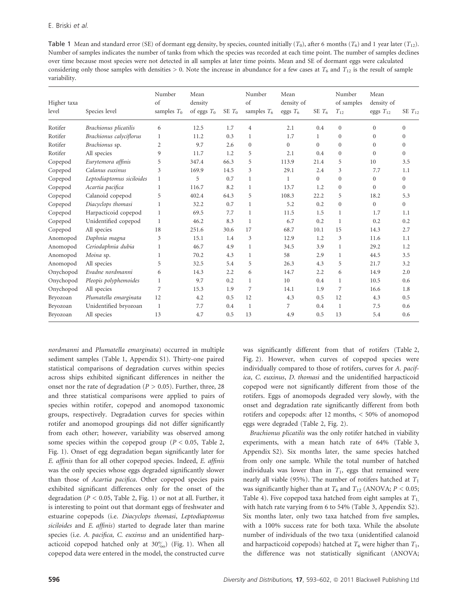Table 1 Mean and standard error (SE) of dormant egg density, by species, counted initially  $(T_0)$ , after 6 months  $(T_6)$  and 1 year later  $(T_1)$ . Number of samples indicates the number of tanks from which the species was recorded at each time point. The number of samples declines over time because most species were not detected in all samples at later time points. Mean and SE of dormant eggs were calculated considering only those samples with densities > 0. Note the increase in abundance for a few cases at  $T_6$  and  $T_{12}$  is the result of sample variability.

| Higher taxa<br>level | Species level             | Number<br>of<br>samples $T_0$ | Mean<br>density<br>of eggs $T_0$ | SE $T_0$ | Number<br>of<br>samples $T_6$ | Mean<br>density of<br>eggs $T_6$ | SE $T_6$       | Number<br>of samples<br>$T_{12}$ | Mean<br>density of<br>eggs $T_{12}$ | SE $T_{12}$    |
|----------------------|---------------------------|-------------------------------|----------------------------------|----------|-------------------------------|----------------------------------|----------------|----------------------------------|-------------------------------------|----------------|
| Rotifer              | Brachionus plicatilis     | 6                             | 12.5                             | 1.7      | $\overline{4}$                | 2.1                              | 0.4            | $\Omega$                         | $\Omega$                            | $\Omega$       |
| Rotifer              | Brachionus calyciflorus   | 1                             | 11.2                             | 0.3      | 1                             | 1.7                              | $\mathbf{1}$   | $\mathbf{0}$                     | $\Omega$                            | $\Omega$       |
| Rotifer              | Brachionus sp.            | $\overline{2}$                | 9.7                              | 2.6      | $\theta$                      | $\mathbf{0}$                     | $\overline{0}$ | $\mathbf{0}$                     | $\Omega$                            | $\Omega$       |
| Rotifer              | All species               | 9                             | 11.7                             | 1.2      | 5                             | 2.1                              | 0.4            | $\Omega$                         | $\Omega$                            | $\Omega$       |
| Copepod              | Eurytemora affinis        | 5                             | 347.4                            | 66.3     | 5                             | 113.9                            | 21.4           | 5                                | 10                                  | 3.5            |
| Copepod              | Calanus euxinus           | 3                             | 169.9                            | 14.5     | 3                             | 29.1                             | 2.4            | 3                                | 7.7                                 | 1.1            |
| Copepod              | Leptodiaptomus siciloides | 1                             | 5                                | 0.7      | 1                             | 1                                | $\overline{0}$ | $\overline{0}$                   | $\mathbf{0}$                        | $\overline{0}$ |
| Copepod              | Acartia pacifica          | 1                             | 116.7                            | 8.2      | 1                             | 13.7                             | 1.2            | $\mathbf{0}$                     | $\Omega$                            | $\Omega$       |
| Copepod              | Calanoid copepod          | 5                             | 402.4                            | 64.3     | 5                             | 108.3                            | 22.2           | 5                                | 18.2                                | 5.3            |
| Copepod              | Diacyclops thomasi        | 1                             | 32.2                             | 0.7      | 1                             | 5.2                              | 0.2            | $\theta$                         | $\Omega$                            | $\overline{0}$ |
| Copepod              | Harpacticoid copepod      | 1                             | 69.5                             | 7.7      | 1                             | 11.5                             | 1.5            | 1                                | 1.7                                 | 1.1            |
| Copepod              | Unidentified copepod      | 1                             | 46.2                             | 8.3      | 1                             | 6.7                              | 0.2            | 1                                | 0.2                                 | 0.2            |
| Copepod              | All species               | 18                            | 251.6                            | 30.6     | 17                            | 68.7                             | 10.1           | 15                               | 14.3                                | 2.7            |
| Anomopod             | Daphnia magna             | 3                             | 15.1                             | 1.4      | 3                             | 12.9                             | 1.2            | 3                                | 11.6                                | 1.1            |
| Anomopod             | Ceriodaphnia dubia        | 1                             | 46.7                             | 4.9      | 1                             | 34.5                             | 3.9            | 1                                | 29.2                                | 1.2            |
| Anomopod             | Moina sp.                 | 1                             | 70.2                             | 4.3      | 1                             | 58                               | 2.9            | 1                                | 44.5                                | 3.5            |
| Anomopod             | All species               | 5                             | 32.5                             | 5.4      | 5                             | 26.3                             | 4.3            | 5                                | 21.7                                | 3.2            |
| Onychopod            | Evadne nordmanni          | 6                             | 14.3                             | 2.2      | 6                             | 14.7                             | 2.2            | 6                                | 14.9                                | 2.0            |
| Onychopod            | Pleopis polyphemoides     | $\mathbf{1}$                  | 9.7                              | 0.2      | $\mathbf{1}$                  | 10                               | 0.4            | $\mathbf{1}$                     | 10.5                                | 0.6            |
| Onychopod            | All species               | 7                             | 15.3                             | 1.9      | 7                             | 14.1                             | 1.9            | 7                                | 16.6                                | 1.8            |
| Bryozoan             | Plumatella emarginata     | 12                            | 4.2                              | 0.5      | 12                            | 4.3                              | 0.5            | 12                               | 4.3                                 | 0.5            |
| Bryozoan             | Unidentified bryozoan     | $\mathbf{1}$                  | 7.7                              | 0.4      | $\mathbf{1}$                  | 7                                | 0.4            | -1                               | 7.5                                 | 0.6            |
| Bryozoan             | All species               | 13                            | 4.7                              | 0.5      | 13                            | 4.9                              | 0.5            | 13                               | 5.4                                 | 0.6            |

nordmanni and Plumatella emarginata) occurred in multiple sediment samples (Table 1, Appendix S1). Thirty-one paired statistical comparisons of degradation curves within species across ships exhibited significant differences in neither the onset nor the rate of degradation ( $P > 0.05$ ). Further, three, 28 and three statistical comparisons were applied to pairs of species within rotifer, copepod and anomopod taxonomic groups, respectively. Degradation curves for species within rotifer and anomopod groupings did not differ significantly from each other; however, variability was observed among some species within the copepod group ( $P < 0.05$ , Table 2, Fig. 1). Onset of egg degradation began significantly later for E. affinis than for all other copepod species. Indeed, E. affinis was the only species whose eggs degraded significantly slower than those of Acartia pacifica. Other copepod species pairs exhibited significant differences only for the onset of the degradation ( $P < 0.05$ , Table 2, Fig. 1) or not at all. Further, it is interesting to point out that dormant eggs of freshwater and estuarine copepods (i.e. Diacyclops thomasi, Leptodiaptomus siciloides and E. affinis) started to degrade later than marine species (i.e. A. pacifica, C. euxinus and an unidentified harpacticoid copepod hatched only at  $30\%$ ) (Fig. 1). When all copepod data were entered in the model, the constructed curve

was significantly different from that of rotifers (Table 2, Fig. 2). However, when curves of copepod species were individually compared to those of rotifers, curves for A. pacifica, C. euxinus, D. thomasi and the unidentified harpacticoid copepod were not significantly different from those of the rotifers. Eggs of anomopods degraded very slowly, with the onset and degradation rate significantly different from both rotifers and copepods: after 12 months, < 50% of anomopod eggs were degraded (Table 2, Fig. 2).

Brachionus plicatilis was the only rotifer hatched in viability experiments, with a mean hatch rate of 64% (Table 3, Appendix S2). Six months later, the same species hatched from only one sample. While the total number of hatched individuals was lower than in  $T_1$ , eggs that remained were nearly all viable (95%). The number of rotifers hatched at  $T_1$ was significantly higher than at  $T_6$  and  $T_{12}$  (ANOVA;  $P < 0.05$ ; Table 4). Five copepod taxa hatched from eight samples at  $T_{1}$ , with hatch rate varying from 6 to 54% (Table 3, Appendix S2). Six months later, only two taxa hatched from five samples, with a 100% success rate for both taxa. While the absolute number of individuals of the two taxa (unidentified calanoid and harpacticoid copepods) hatched at  $T_6$  were higher than  $T_1$ , the difference was not statistically significant (ANOVA;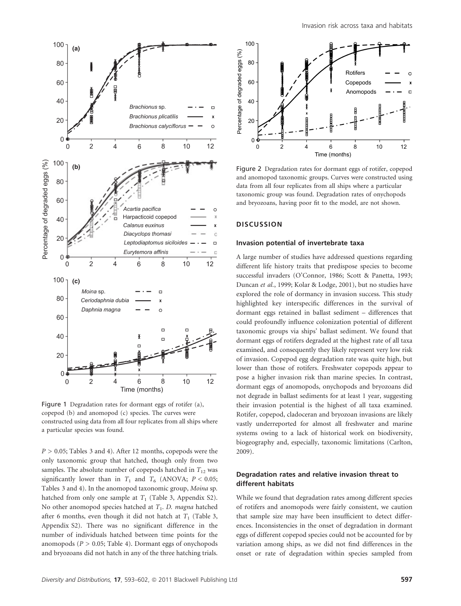

Figure 1 Degradation rates for dormant eggs of rotifer (a), copepod (b) and anomopod (c) species. The curves were constructed using data from all four replicates from all ships where a particular species was found.

 $P > 0.05$ ; Tables 3 and 4). After 12 months, copepods were the only taxonomic group that hatched, though only from two samples. The absolute number of copepods hatched in  $T_{12}$  was significantly lower than in  $T_1$  and  $T_6$  (ANOVA;  $P < 0.05$ ; Tables 3 and 4). In the anomopod taxonomic group, Moina sp. hatched from only one sample at  $T_1$  (Table 3, Appendix S2). No other anomopod species hatched at  $T_1$ . D. magna hatched after 6 months, even though it did not hatch at  $T_1$  (Table 3, Appendix S2). There was no significant difference in the number of individuals hatched between time points for the anomopods ( $P > 0.05$ ; Table 4). Dormant eggs of onychopods and bryozoans did not hatch in any of the three hatching trials.



Figure 2 Degradation rates for dormant eggs of rotifer, copepod and anomopod taxonomic groups. Curves were constructed using data from all four replicates from all ships where a particular taxonomic group was found. Degradation rates of onychopods and bryozoans, having poor fit to the model, are not shown.

## **DISCUSSION**

## Invasion potential of invertebrate taxa

A large number of studies have addressed questions regarding different life history traits that predispose species to become successful invaders (O'Connor, 1986; Scott & Panetta, 1993; Duncan et al., 1999; Kolar & Lodge, 2001), but no studies have explored the role of dormancy in invasion success. This study highlighted key interspecific differences in the survival of dormant eggs retained in ballast sediment – differences that could profoundly influence colonization potential of different taxonomic groups via ships' ballast sediment. We found that dormant eggs of rotifers degraded at the highest rate of all taxa examined, and consequently they likely represent very low risk of invasion. Copepod egg degradation rate was quite high, but lower than those of rotifers. Freshwater copepods appear to pose a higher invasion risk than marine species. In contrast, dormant eggs of anomopods, onychopods and bryozoans did not degrade in ballast sediments for at least 1 year, suggesting their invasion potential is the highest of all taxa examined. Rotifer, copepod, cladoceran and bryozoan invasions are likely vastly underreported for almost all freshwater and marine systems owing to a lack of historical work on biodiversity, biogeography and, especially, taxonomic limitations (Carlton, 2009).

## Degradation rates and relative invasion threat to different habitats

While we found that degradation rates among different species of rotifers and anomopods were fairly consistent, we caution that sample size may have been insufficient to detect differences. Inconsistencies in the onset of degradation in dormant eggs of different copepod species could not be accounted for by variation among ships, as we did not find differences in the onset or rate of degradation within species sampled from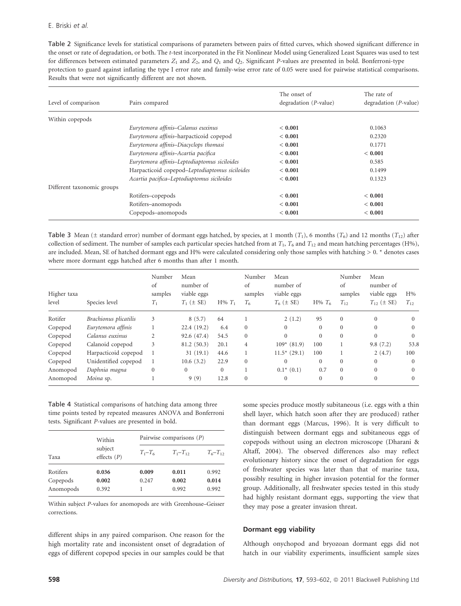Table 2 Significance levels for statistical comparisons of parameters between pairs of fitted curves, which showed significant difference in the onset or rate of degradation, or both. The t-test incorporated in the Fit Nonlinear Model using Generalized Least Squares was used to test for differences between estimated parameters  $Z_1$  and  $Z_2$ , and  $Q_1$  and  $Q_2$ . Significant P-values are presented in bold. Bonferroni-type protection to guard against inflating the type I error rate and family-wise error rate of 0.05 were used for pairwise statistical comparisons. Results that were not significantly different are not shown.

| Level of comparison        | Pairs compared                                 | The onset of<br>degradation $(P$ -value) | The rate of<br>degradation $(P$ -value) |
|----------------------------|------------------------------------------------|------------------------------------------|-----------------------------------------|
| Within copepods            |                                                |                                          |                                         |
|                            | Eurytemora affinis–Calanus euxinus             | ${}< 0.001$                              | 0.1063                                  |
|                            | Eurytemora affinis-harpacticoid copepod        | < 0.001                                  | 0.2320                                  |
|                            | Eurytemora affinis-Diacyclops thomasi          | < 0.001                                  | 0.1771                                  |
|                            | Eurytemora affinis-Acartia pacifica            | < 0.001                                  | ${}< 0.001$                             |
|                            | Eurytemora affinis–Leptodiaptomus siciloides   | < 0.001                                  | 0.585                                   |
|                            | Harpacticoid copepod-Leptodiaptomus siciloides | < 0.001                                  | 0.1499                                  |
|                            | Acartia pacifica-Leptodiaptomus siciloides     | < 0.001                                  | 0.1323                                  |
| Different taxonomic groups |                                                |                                          |                                         |
|                            | Rotifers-copepods                              | ${}< 0.001$                              | ${}< 0.001$                             |
|                            | Rotifers-anomopods                             | < 0.001                                  | ${}< 0.001$                             |
|                            | Copepods-anomopods                             | < 0.001                                  | ${}< 0.001$                             |

Table 3 Mean ( $\pm$  standard error) number of dormant eggs hatched, by species, at 1 month ( $T_1$ ), 6 months ( $T_6$ ) and 12 months ( $T_{12}$ ) after collection of sediment. The number of samples each particular species hatched from at  $T_1$ ,  $T_6$  and  $T_{12}$  and mean hatching percentages (H%), are included. Mean, SE of hatched dormant eggs and H% were calculated considering only those samples with hatching > 0. \* denotes cases where more dormant eggs hatched after 6 months than after 1 month.

| Higher taxa<br>level | Species level         | Number<br>of<br>samples<br>$T_{1}$ | Mean<br>number of<br>viable eggs<br>$T_1$ ( $\pm$ SE) | $H\%$ $T_1$ | Number<br>of<br>samples<br>$T_6$ | Mean<br>number of<br>viable eggs<br>$T_6$ ( $\pm$ SE) | $H\%$ $T_6$  | Number<br>of<br>samples<br>$T_{12}$ | Mean<br>number of<br>viable eggs<br>$T_{12}$ ( $\pm$ SE) | H%<br>$T_{12}$ |
|----------------------|-----------------------|------------------------------------|-------------------------------------------------------|-------------|----------------------------------|-------------------------------------------------------|--------------|-------------------------------------|----------------------------------------------------------|----------------|
| Rotifer              | Brachionus plicatilis | 3                                  | 8(5.7)                                                | 64          |                                  | 2(1.2)                                                | 95           | $\Omega$                            | $\Omega$                                                 |                |
| Copepod              | Eurytemora affinis    |                                    | 22.4 (19.2)                                           | 6.4         | $\Omega$                         | $\Omega$                                              | $\Omega$     | $\Omega$                            | $\Omega$                                                 | $\Omega$       |
| Copepod              | Calanus euxinus       | 2                                  | 92.6 (47.4)                                           | 54.5        | $\Omega$                         | $\Omega$                                              | $\Omega$     | $\Omega$                            | $\Omega$                                                 | $\Omega$       |
| Copepod              | Calanoid copepod      | 3                                  | 81.2 (50.3)                                           | 20.1        | $\overline{4}$                   | $109*$ (81.9)                                         | 100          |                                     | 9.8(7.2)                                                 | 53.8           |
| Copepod              | Harpacticoid copepod  |                                    | 31(19.1)                                              | 44.6        |                                  | $11.5*$ (29.1)                                        | 100          |                                     | 2(4.7)                                                   | 100            |
| Copepod              | Unidentified copepod  |                                    | 10.6(3.2)                                             | 22.9        | $\Omega$                         | $\Omega$                                              | $\Omega$     | $\Omega$                            | $\Omega$                                                 | $\Omega$       |
| Anomopod             | Daphnia magna         | $\overline{0}$                     | $\Omega$                                              | $\Omega$    |                                  | $0.1^*$ (0.1)                                         | 0.7          | $\Omega$                            | $\Omega$                                                 | $\Omega$       |
| Anomopod             | Moina sp.             |                                    | 9(9)                                                  | 12.8        | $\Omega$                         | $\Omega$                                              | $\mathbf{0}$ | $\Omega$                            | $\Omega$                                                 | $\Omega$       |

Table 4 Statistical comparisons of hatching data among three time points tested by repeated measures ANOVA and Bonferroni tests. Significant P-values are presented in bold.

|           | Within                   | Pairwise comparisons $(P)$ |             |                |  |  |  |
|-----------|--------------------------|----------------------------|-------------|----------------|--|--|--|
| Taxa      | subject<br>effects $(P)$ | $T_1 - T_6$                | $T_1 - T_1$ | $T_6 - T_{12}$ |  |  |  |
| Rotifers  | 0.036                    | 0.009                      | 0.011       | 0.992          |  |  |  |
| Copepods  | 0.002                    | 0.247                      | 0.002       | 0.014          |  |  |  |
| Anomopods | 0.392                    |                            | 0.992       | 0.992          |  |  |  |

Within subject P-values for anomopods are with Greenhouse–Geisser corrections.

different ships in any paired comparison. One reason for the high mortality rate and inconsistent onset of degradation of eggs of different copepod species in our samples could be that

some species produce mostly subitaneous (i.e. eggs with a thin shell layer, which hatch soon after they are produced) rather than dormant eggs (Marcus, 1996). It is very difficult to distinguish between dormant eggs and subitaneous eggs of copepods without using an electron microscope (Dharani & Altaff, 2004). The observed differences also may reflect evolutionary history since the onset of degradation for eggs of freshwater species was later than that of marine taxa, possibly resulting in higher invasion potential for the former group. Additionally, all freshwater species tested in this study had highly resistant dormant eggs, supporting the view that they may pose a greater invasion threat.

#### Dormant egg viability

Although onychopod and bryozoan dormant eggs did not hatch in our viability experiments, insufficient sample sizes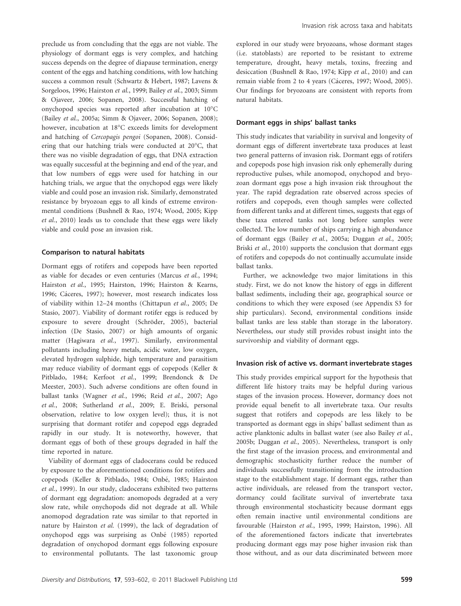preclude us from concluding that the eggs are not viable. The physiology of dormant eggs is very complex, and hatching success depends on the degree of diapause termination, energy content of the eggs and hatching conditions, with low hatching success a common result (Schwartz & Hebert, 1987; Lavens & Sorgeloos, 1996; Hairston et al., 1999; Bailey et al., 2003; Simm & Ojaveer, 2006; Sopanen, 2008). Successful hatching of onychopod species was reported after incubation at  $10^{\circ}$ C (Bailey et al., 2005a; Simm & Ojaveer, 2006; Sopanen, 2008); however, incubation at 18°C exceeds limits for development and hatching of Cercopagis pengoi (Sopanen, 2008). Considering that our hatching trials were conducted at 20°C, that there was no visible degradation of eggs, that DNA extraction was equally successful at the beginning and end of the year, and that low numbers of eggs were used for hatching in our hatching trials, we argue that the onychopod eggs were likely viable and could pose an invasion risk. Similarly, demonstrated resistance by bryozoan eggs to all kinds of extreme environmental conditions (Bushnell & Rao, 1974; Wood, 2005; Kipp et al., 2010) leads us to conclude that these eggs were likely viable and could pose an invasion risk.

#### Comparison to natural habitats

Dormant eggs of rotifers and copepods have been reported as viable for decades or even centuries (Marcus et al., 1994; Hairston et al., 1995; Hairston, 1996; Hairston & Kearns, 1996; Cáceres, 1997); however, most research indicates loss of viability within 12–24 months (Chittapun et al., 2005; De Stasio, 2007). Viability of dormant rotifer eggs is reduced by exposure to severe drought (Schröder, 2005), bacterial infection (De Stasio, 2007) or high amounts of organic matter (Hagiwara et al., 1997). Similarly, environmental pollutants including heavy metals, acidic water, low oxygen, elevated hydrogen sulphide, high temperature and parasitism may reduce viability of dormant eggs of copepods (Keller & Pitblado, 1984; Kerfoot et al., 1999; Brendonck & De Meester, 2003). Such adverse conditions are often found in ballast tanks (Wagner et al., 1996; Reid et al., 2007; Ago et al., 2008; Sutherland et al., 2009; E. Briski, personal observation, relative to low oxygen level); thus, it is not surprising that dormant rotifer and copepod eggs degraded rapidly in our study. It is noteworthy, however, that dormant eggs of both of these groups degraded in half the time reported in nature.

Viability of dormant eggs of cladocerans could be reduced by exposure to the aforementioned conditions for rotifers and copepods (Keller & Pitblado, 1984; Onbé, 1985; Hairston et al., 1999). In our study, cladocerans exhibited two patterns of dormant egg degradation: anomopods degraded at a very slow rate, while onychopods did not degrade at all. While anomopod degradation rate was similar to that reported in nature by Hairston et al. (1999), the lack of degradation of onychopod eggs was surprising as Onbé (1985) reported degradation of onychopod dormant eggs following exposure to environmental pollutants. The last taxonomic group

explored in our study were bryozoans, whose dormant stages (i.e. statoblasts) are reported to be resistant to extreme temperature, drought, heavy metals, toxins, freezing and desiccation (Bushnell & Rao, 1974; Kipp et al., 2010) and can remain viable from 2 to 4 years (Cáceres, 1997; Wood, 2005). Our findings for bryozoans are consistent with reports from natural habitats.

#### Dormant eggs in ships' ballast tanks

This study indicates that variability in survival and longevity of dormant eggs of different invertebrate taxa produces at least two general patterns of invasion risk. Dormant eggs of rotifers and copepods pose high invasion risk only ephemerally during reproductive pulses, while anomopod, onychopod and bryozoan dormant eggs pose a high invasion risk throughout the year. The rapid degradation rate observed across species of rotifers and copepods, even though samples were collected from different tanks and at different times, suggests that eggs of these taxa entered tanks not long before samples were collected. The low number of ships carrying a high abundance of dormant eggs (Bailey et al., 2005a; Duggan et al., 2005; Briski et al., 2010) supports the conclusion that dormant eggs of rotifers and copepods do not continually accumulate inside ballast tanks.

Further, we acknowledge two major limitations in this study. First, we do not know the history of eggs in different ballast sediments, including their age, geographical source or conditions to which they were exposed (see Appendix S3 for ship particulars). Second, environmental conditions inside ballast tanks are less stable than storage in the laboratory. Nevertheless, our study still provides robust insight into the survivorship and viability of dormant eggs.

#### Invasion risk of active vs. dormant invertebrate stages

This study provides empirical support for the hypothesis that different life history traits may be helpful during various stages of the invasion process. However, dormancy does not provide equal benefit to all invertebrate taxa. Our results suggest that rotifers and copepods are less likely to be transported as dormant eggs in ships' ballast sediment than as active planktonic adults in ballast water (see also Bailey et al., 2005b; Duggan et al., 2005). Nevertheless, transport is only the first stage of the invasion process, and environmental and demographic stochasticity further reduce the number of individuals successfully transitioning from the introduction stage to the establishment stage. If dormant eggs, rather than active individuals, are released from the transport vector, dormancy could facilitate survival of invertebrate taxa through environmental stochasticity because dormant eggs often remain inactive until environmental conditions are favourable (Hairston et al., 1995, 1999; Hairston, 1996). All of the aforementioned factors indicate that invertebrates producing dormant eggs may pose higher invasion risk than those without, and as our data discriminated between more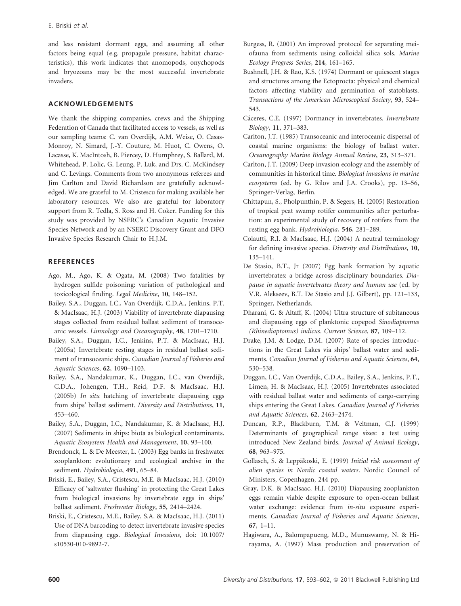and less resistant dormant eggs, and assuming all other factors being equal (e.g. propagule pressure, habitat characteristics), this work indicates that anomopods, onychopods and bryozoans may be the most successful invertebrate invaders.

## ACKNOWLEDGEMENTS

We thank the shipping companies, crews and the Shipping Federation of Canada that facilitated access to vessels, as well as our sampling teams: C. van Overdijk, A.M. Weise, O. Casas-Monroy, N. Simard, J.-Y. Couture, M. Huot, C. Owens, O. Lacasse, K. MacIntosh, B. Piercey, D. Humphrey, S. Ballard, M. Whitehead, P. Lolic, G. Leung, P. Luk, and Drs. C. McKindsey and C. Levings. Comments from two anonymous referees and Jim Carlton and David Richardson are gratefully acknowledged. We are grateful to M. Cristescu for making available her laboratory resources. We also are grateful for laboratory support from R. Tedla, S. Ross and H. Coker. Funding for this study was provided by NSERC's Canadian Aquatic Invasive Species Network and by an NSERC Discovery Grant and DFO Invasive Species Research Chair to H.J.M.

## **REFERENCES**

- Ago, M., Ago, K. & Ogata, M. (2008) Two fatalities by hydrogen sulfide poisoning: variation of pathological and toxicological finding. Legal Medicine, 10, 148–152.
- Bailey, S.A., Duggan, I.C., Van Overdijk, C.D.A., Jenkins, P.T. & MacIsaac, H.J. (2003) Viability of invertebrate diapausing stages collected from residual ballast sediment of transoceanic vessels. Limnology and Oceanography, 48, 1701–1710.
- Bailey, S.A., Duggan, I.C., Jenkins, P.T. & MacIsaac, H.J. (2005a) Invertebrate resting stages in residual ballast sediment of transoceanic ships. Canadian Journal of Fisheries and Aquatic Sciences, 62, 1090–1103.
- Bailey, S.A., Nandakumar, K., Duggan, I.C., van Overdijk, C.D.A., Johengen, T.H., Reid, D.F. & MacIsaac, H.J. (2005b) In situ hatching of invertebrate diapausing eggs from ships' ballast sediment. Diversity and Distributions, 11, 453–460.
- Bailey, S.A., Duggan, I.C., Nandakumar, K. & MacIsaac, H.J. (2007) Sediments in ships: biota as biological contaminants. Aquatic Ecosystem Health and Management, 10, 93–100.
- Brendonck, L. & De Meester, L. (2003) Egg banks in freshwater zooplankton: evolutionary and ecological archive in the sediment. Hydrobiologia, 491, 65–84.
- Briski, E., Bailey, S.A., Cristescu, M.E. & MacIsaac, H.J. (2010) Efficacy of 'saltwater flushing' in protecting the Great Lakes from biological invasions by invertebrate eggs in ships' ballast sediment. Freshwater Biology, 55, 2414–2424.
- Briski, E., Cristescu, M.E., Bailey, S.A. & MacIsaac, H.J. (2011) Use of DNA barcoding to detect invertebrate invasive species from diapausing eggs. Biological Invasions, doi: 10.1007/ s10530-010-9892-7.
- Burgess, R. (2001) An improved protocol for separating meiofauna from sediments using colloidal silica sols. Marine Ecology Progress Series, 214, 161–165.
- Bushnell, J.H. & Rao, K.S. (1974) Dormant or quiescent stages and structures among the Ectoprocta: physical and chemical factors affecting viability and germination of statoblasts. Transactions of the American Microscopical Society, 93, 524– 543.
- Cáceres, C.E. (1997) Dormancy in invertebrates. Invertebrate Biology, 11, 371–383.
- Carlton, J.T. (1985) Transoceanic and interoceanic dispersal of coastal marine organisms: the biology of ballast water. Oceanography Marine Biology Annual Review, 23, 313–371.
- Carlton, J.T. (2009) Deep invasion ecology and the assembly of communities in historical time. Biological invasions in marine ecosystems (ed. by G. Rilov and J.A. Crooks), pp. 13–56, Springer-Verlag, Berlin.
- Chittapun, S., Pholpunthin, P. & Segers, H. (2005) Restoration of tropical peat swamp rotifer communities after perturbation: an experimental study of recovery of rotifers from the resting egg bank. Hydrobiologia, 546, 281–289.
- Colautti, R.I. & MacIsaac, H.J. (2004) A neutral terminology for defining invasive species. Diversity and Distributions, 10, 135–141.
- De Stasio, B.T., Jr (2007) Egg bank formation by aquatic invertebrates: a bridge across disciplinary boundaries. Diapause in aquatic invertebrates theory and human use (ed. by V.R. Alekseev, B.T. De Stasio and J.J. Gilbert), pp. 121–133, Springer, Netherlands.
- Dharani, G. & Altaff, K. (2004) Ultra structure of subitaneous and diapausing eggs of planktonic copepod Sinodiaptomus (Rhinediaptomus) indicus. Current Science, 87, 109–112.
- Drake, J.M. & Lodge, D.M. (2007) Rate of species introductions in the Great Lakes via ships' ballast water and sediments. Canadian Journal of Fisheries and Aquatic Sciences, 64, 530–538.
- Duggan, I.C., Van Overdijk, C.D.A., Bailey, S.A., Jenkins, P.T., Limen, H. & MacIsaac, H.J. (2005) Invertebrates associated with residual ballast water and sediments of cargo-carrying ships entering the Great Lakes. Canadian Journal of Fisheries and Aquatic Sciences, 62, 2463–2474.
- Duncan, R.P., Blackburn, T.M. & Veltman, C.J. (1999) Determinants of geographical range sizes: a test using introduced New Zealand birds. Journal of Animal Ecology, 68, 963–975.
- Gollasch, S. & Leppäkoski, E. (1999) Initial risk assessment of alien species in Nordic coastal waters. Nordic Council of Ministers, Copenhagen, 244 pp.
- Gray, D.K. & MacIsaac, H.J. (2010) Diapausing zooplankton eggs remain viable despite exposure to open-ocean ballast water exchange: evidence from in-situ exposure experiments. Canadian Journal of Fisheries and Aquatic Sciences, 67, 1–11.
- Hagiwara, A., Balompapueng, M.D., Munuswamy, N. & Hirayama, A. (1997) Mass production and preservation of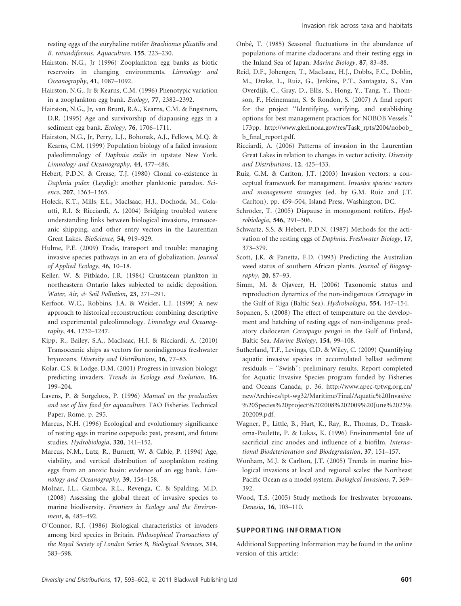resting eggs of the euryhaline rotifer Brachionus plicatilis and B. rotundiformis. Aquaculture, 155, 223–230.

- Hairston, N.G., Jr (1996) Zooplankton egg banks as biotic reservoirs in changing environments. Limnology and Oceanography, 41, 1087–1092.
- Hairston, N.G., Jr & Kearns, C.M. (1996) Phenotypic variation in a zooplankton egg bank. Ecology, 77, 2382–2392.
- Hairston, N.G., Jr, van Brunt, R.A., Kearns, C.M. & Engstrom, D.R. (1995) Age and survivorship of diapausing eggs in a sediment egg bank. Ecology, 76, 1706–1711.
- Hairston, N.G., Jr, Perry, L.J., Bohonak, A.J., Fellows, M.Q. & Kearns, C.M. (1999) Population biology of a failed invasion: paleolimnology of Daphnia exilis in upstate New York. Limnology and Oceanography, 44, 477–486.
- Hebert, P.D.N. & Crease, T.J. (1980) Clonal co-existence in Daphnia pulex (Leydig): another planktonic paradox. Science, 207, 1363–1365.
- Holeck, K.T., Mills, E.L., MacIsaac, H.J., Dochoda, M., Colautti, R.I. & Ricciardi, A. (2004) Bridging troubled waters: understanding links between biological invasions, transoceanic shipping, and other entry vectors in the Laurentian Great Lakes. BioScience, 54, 919–929.
- Hulme, P.E. (2009) Trade, transport and trouble: managing invasive species pathways in an era of globalization. Journal of Applied Ecology, 46, 10–18.
- Keller, W. & Pitblado, J.R. (1984) Crustacean plankton in northeastern Ontario lakes subjected to acidic deposition. Water, Air, & Soil Pollution, 23, 271–291.
- Kerfoot, W.C., Robbins, J.A. & Weider, L.J. (1999) A new approach to historical reconstruction: combining descriptive and experimental paleolimnology. Limnology and Oceanography, 44, 1232–1247.
- Kipp, R., Bailey, S.A., MacIsaac, H.J. & Ricciardi, A. (2010) Transoceanic ships as vectors for nonindigenous freshwater bryozoans. Diversity and Distributions, 16, 77–83.
- Kolar, C.S. & Lodge, D.M. (2001) Progress in invasion biology: predicting invaders. Trends in Ecology and Evolution, 16, 199–204.
- Lavens, P. & Sorgeloos, P. (1996) Manual on the production and use of live food for aquaculture. FAO Fisheries Technical Paper, Rome, p. 295.
- Marcus, N.H. (1996) Ecological and evolutionary significance of resting eggs in marine copepods: past, present, and future studies. Hydrobiologia, 320, 141–152.
- Marcus, N.M., Lutz, R., Burnett, W. & Cable, P. (1994) Age, viability, and vertical distribution of zooplankton resting eggs from an anoxic basin: evidence of an egg bank. Limnology and Oceanography, 39, 154–158.
- Molnar, J.L., Gamboa, R.L., Revenga, C. & Spalding, M.D. (2008) Assessing the global threat of invasive species to marine biodiversity. Frontiers in Ecology and the Environment, 6, 485–492.
- O'Connor, R.J. (1986) Biological characteristics of invaders among bird species in Britain. Philosophical Transactions of the Royal Society of London Series B, Biological Sciences, 314, 583–598.
- Onbé, T. (1985) Seasonal fluctuations in the abundance of populations of marine cladocerans and their resting eggs in the Inland Sea of Japan. Marine Biology, 87, 83–88.
- Reid, D.F., Johengen, T., MacIsaac, H.J., Dobbs, F.C., Doblin, M., Drake, L., Ruiz, G., Jenkins, P.T., Santagata, S., Van Overdijk, C., Gray, D., Ellis, S., Hong, Y., Tang, Y., Thomson, F., Heinemann, S. & Rondon, S. (2007) A final report for the project ''Identifying, verifying, and establishing options for best management practices for NOBOB Vessels.'' 173pp. http://www.glerl.noaa.gov/res/Task\_rpts/2004/nobob\_ b\_final\_report.pdf.
- Ricciardi, A. (2006) Patterns of invasion in the Laurentian Great Lakes in relation to changes in vector activity. Diversity and Distributions, 12, 425–433.
- Ruiz, G.M. & Carlton, J.T. (2003) Invasion vectors: a conceptual framework for management. Invasive species: vectors and management strategies (ed. by G.M. Ruiz and J.T. Carlton), pp. 459–504, Island Press, Washington, DC.
- Schröder, T. (2005) Diapause in monogonont rotifers. Hydrobiologia, 546, 291–306.
- Schwartz, S.S. & Hebert, P.D.N. (1987) Methods for the activation of the resting eggs of Daphnia. Freshwater Biology, 17, 373–379.
- Scott, J.K. & Panetta, F.D. (1993) Predicting the Australian weed status of southern African plants. Journal of Biogeography, 20, 87–93.
- Simm, M. & Ojaveer, H. (2006) Taxonomic status and reproduction dynamics of the non-indigenous Cercopagis in the Gulf of Riga (Baltic Sea). Hydrobiologia, 554, 147–154.
- Sopanen, S. (2008) The effect of temperature on the development and hatching of resting eggs of non-indigenous predatory cladoceran Cercopagis pengoi in the Gulf of Finland, Baltic Sea. Marine Biology, 154, 99–108.
- Sutherland, T.F., Levings, C.D. & Wiley, C. (2009) Quantifying aquatic invasive species in accumulated ballast sediment residuals – ''Swish'': preliminary results. Report completed for Aquatic Invasive Species program funded by Fisheries and Oceans Canada, p. 36. http://www.apec-tptwg.org.cn/ new/Archives/tpt-wg32/Maritime/Final/Aquatic%20Invasive %20Species%20project%202008%202009%20June%2023% 202009.pdf.
- Wagner, P., Little, B., Hart, K., Ray, R., Thomas, D., Trzaskoma-Paulette, P. & Lukas, K. (1996) Environmental fate of sacrificial zinc anodes and influence of a biofilm. International Biodeterioration and Biodegradation, 37, 151–157.
- Wonham, M.J. & Carlton, J.T. (2005) Trends in marine biological invasions at local and regional scales: the Northeast Pacific Ocean as a model system. Biological Invasions, 7, 369– 392.
- Wood, T.S. (2005) Study methods for freshwater bryozoans. Denesia, 16, 103–110.

# SUPPORTING INFORMATION

Additional Supporting Information may be found in the online version of this article: